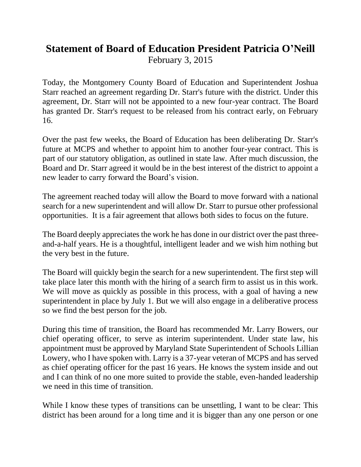## **Statement of Board of Education President Patricia O'Neill** February 3, 2015

Today, the Montgomery County Board of Education and Superintendent Joshua Starr reached an agreement regarding Dr. Starr's future with the district. Under this agreement, Dr. Starr will not be appointed to a new four-year contract. The Board has granted Dr. Starr's request to be released from his contract early, on February 16.

Over the past few weeks, the Board of Education has been deliberating Dr. Starr's future at MCPS and whether to appoint him to another four-year contract. This is part of our statutory obligation, as outlined in state law. After much discussion, the Board and Dr. Starr agreed it would be in the best interest of the district to appoint a new leader to carry forward the Board's vision.

The agreement reached today will allow the Board to move forward with a national search for a new superintendent and will allow Dr. Starr to pursue other professional opportunities. It is a fair agreement that allows both sides to focus on the future.

The Board deeply appreciates the work he has done in our district over the past threeand-a-half years. He is a thoughtful, intelligent leader and we wish him nothing but the very best in the future.

The Board will quickly begin the search for a new superintendent. The first step will take place later this month with the hiring of a search firm to assist us in this work. We will move as quickly as possible in this process, with a goal of having a new superintendent in place by July 1. But we will also engage in a deliberative process so we find the best person for the job.

During this time of transition, the Board has recommended Mr. Larry Bowers, our chief operating officer, to serve as interim superintendent. Under state law, his appointment must be approved by Maryland State Superintendent of Schools Lillian Lowery, who I have spoken with. Larry is a 37-year veteran of MCPS and has served as chief operating officer for the past 16 years. He knows the system inside and out and I can think of no one more suited to provide the stable, even-handed leadership we need in this time of transition.

While I know these types of transitions can be unsettling, I want to be clear: This district has been around for a long time and it is bigger than any one person or one